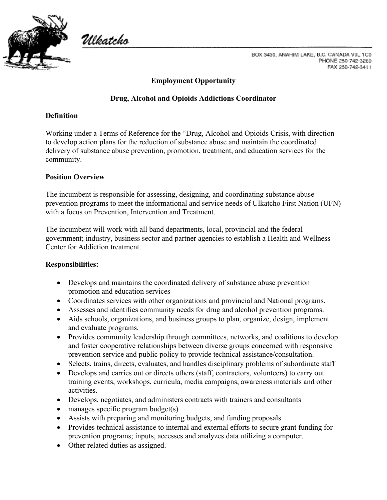

Ulkatcho

BOX 3430, ANAHIM LAKE, B.C. CANADA VOL 1C0 PHONE 250-742-3260 FAX 250-742-3411

# **Employment Opportunity**

#### **Drug, Alcohol and Opioids Addictions Coordinator**

#### **Definition**

Working under a Terms of Reference for the "Drug, Alcohol and Opioids Crisis, with direction to develop action plans for the reduction of substance abuse and maintain the coordinated delivery of substance abuse prevention, promotion, treatment, and education services for the community.

#### **Position Overview**

The incumbent is responsible for assessing, designing, and coordinating substance abuse prevention programs to meet the informational and service needs of Ulkatcho First Nation (UFN) with a focus on Prevention, Intervention and Treatment.

The incumbent will work with all band departments, local, provincial and the federal government; industry, business sector and partner agencies to establish a Health and Wellness Center for Addiction treatment.

## **Responsibilities:**

- Develops and maintains the coordinated delivery of substance abuse prevention promotion and education services
- Coordinates services with other organizations and provincial and National programs.
- Assesses and identifies community needs for drug and alcohol prevention programs.
- Aids schools, organizations, and business groups to plan, organize, design, implement and evaluate programs.
- Provides community leadership through committees, networks, and coalitions to develop and foster cooperative relationships between diverse groups concerned with responsive prevention service and public policy to provide technical assistance/consultation.
- Selects, trains, directs, evaluates, and handles disciplinary problems of subordinate staff
- Develops and carries out or directs others (staff, contractors, volunteers) to carry out training events, workshops, curricula, media campaigns, awareness materials and other activities.
- Develops, negotiates, and administers contracts with trainers and consultants
- manages specific program budget(s)
- Assists with preparing and monitoring budgets, and funding proposals
- Provides technical assistance to internal and external efforts to secure grant funding for prevention programs; inputs, accesses and analyzes data utilizing a computer.
- Other related duties as assigned.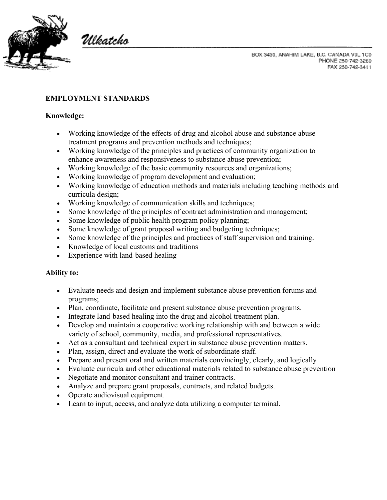

Ulkatcho

# **EMPLOYMENT STANDARDS**

#### **Knowledge:**

- Working knowledge of the effects of drug and alcohol abuse and substance abuse treatment programs and prevention methods and techniques;
- Working knowledge of the principles and practices of community organization to enhance awareness and responsiveness to substance abuse prevention;
- Working knowledge of the basic community resources and organizations;
- Working knowledge of program development and evaluation;
- Working knowledge of education methods and materials including teaching methods and curricula design;
- Working knowledge of communication skills and techniques;
- Some knowledge of the principles of contract administration and management;
- Some knowledge of public health program policy planning;
- Some knowledge of grant proposal writing and budgeting techniques;
- Some knowledge of the principles and practices of staff supervision and training.
- Knowledge of local customs and traditions
- Experience with land-based healing

## **Ability to:**

- Evaluate needs and design and implement substance abuse prevention forums and programs;
- Plan, coordinate, facilitate and present substance abuse prevention programs.
- Integrate land-based healing into the drug and alcohol treatment plan.
- Develop and maintain a cooperative working relationship with and between a wide variety of school, community, media, and professional representatives.
- Act as a consultant and technical expert in substance abuse prevention matters.
- Plan, assign, direct and evaluate the work of subordinate staff.
- Prepare and present oral and written materials convincingly, clearly, and logically
- Evaluate curricula and other educational materials related to substance abuse prevention
- Negotiate and monitor consultant and trainer contracts.
- Analyze and prepare grant proposals, contracts, and related budgets.
- Operate audiovisual equipment.
- Learn to input, access, and analyze data utilizing a computer terminal.